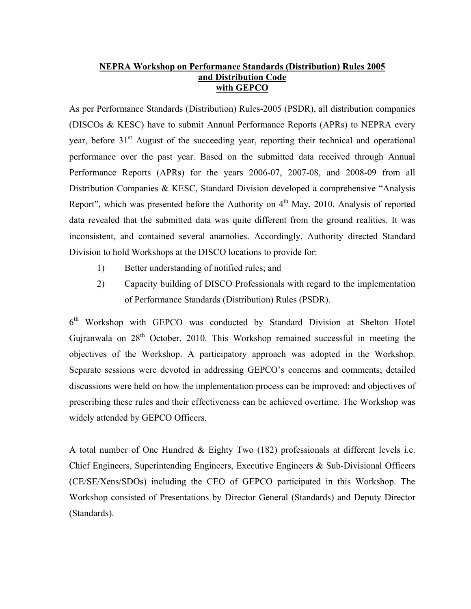## **NEPRA Workshop on Performance Standards (Distribution) Rules 2005 and Distribution Code with GEPCO**

As per Performance Standards (Distribution) Rules-2005 (PSDR), all distribution companies (DISCOs & KESC) have to submit Annual Performance Reports (APRs) to NEPRA every year, before 31<sup>st</sup> August of the succeeding year, reporting their technical and operational performance over the past year. Based on the submitted data received through Annual Performance Reports (APRs) for the years 2006-07, 2007-08, and 2008-09 from all Distribution Companies & KESC, Standard Division developed a comprehensive "Analysis Report", which was presented before the Authority on  $4<sup>th</sup>$  May, 2010. Analysis of reported data revealed that the submitted data was quite different from the ground realities. It was inconsistent, and contained several anamolies. Accordingly, Authority directed Standard Division to hold Workshops at the DISCO locations to provide for:

- 1) Better understanding of notified rules; and
- 2) Capacity building of DISCO Professionals with regard to the implementation of Performance Standards (Distribution) Rules (PSDR).

 $6<sup>th</sup>$  Workshop with GEPCO was conducted by Standard Division at Shelton Hotel Gujranwala on  $28<sup>th</sup>$  October, 2010. This Workshop remained successful in meeting the objectives of the Workshop. A participatory approach was adopted in the Workshop. Separate sessions were devoted in addressing GEPCO's concerns and comments; detailed discussions were held on how the implementation process can be improved; and objectives of prescribing these rules and their effectiveness can be achieved overtime. The Workshop was widely attended by GEPCO Officers.

A total number of One Hundred & Eighty Two (182) professionals at different levels i.e. Chief Engineers, Superintending Engineers, Executive Engineers & Sub-Divisional Officers (CE/SE/Xens/SDOs) including the CEO of GEPCO participated in this Workshop. The Workshop consisted of Presentations by Director General (Standards) and Deputy Director (Standards).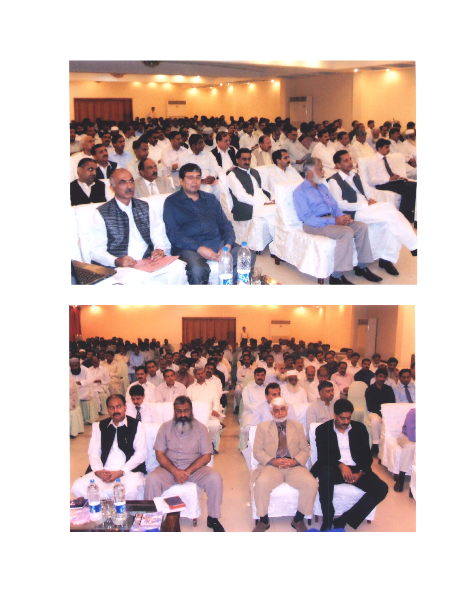